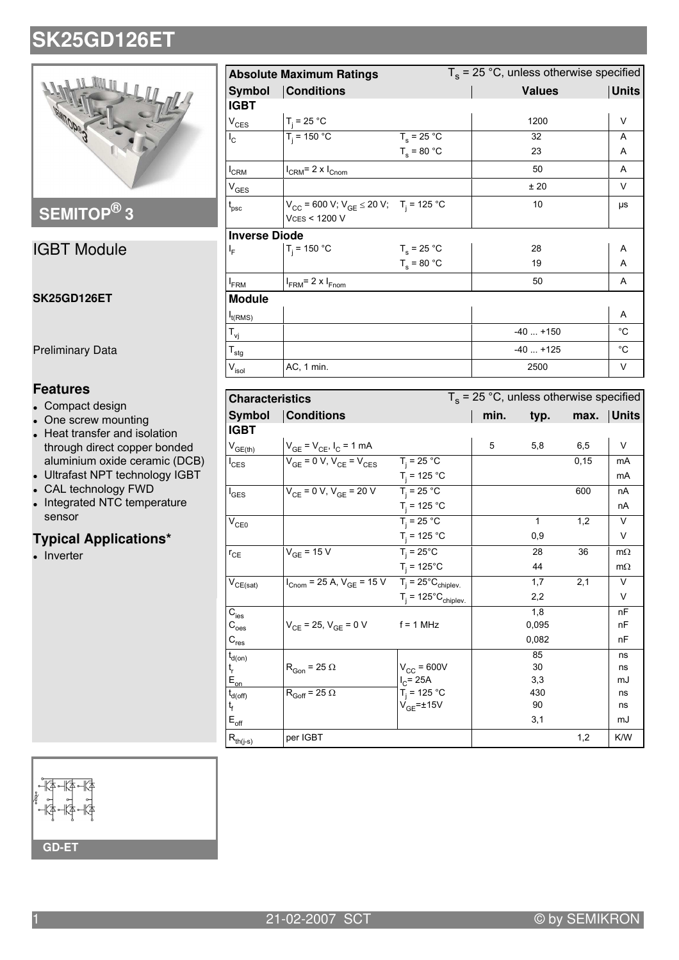

# SEMITOP®3

## **IGBT Module**

#### **SK25GD126ET**

**Preliminary Data** 

## **Features**

- Compact design
- One screw mounting
- Heat transfer and isolation through direct copper bonded aluminium oxide ceramic (DCB)
- Ultrafast NPT technology IGBT
- CAL technology FWD
- Integrated NTC temperature sensor

### **Typical Applications\***

 $\bullet$  Inverter

|                              | $T_s$ = 25 °C, unless otherwise specified<br><b>Absolute Maximum Ratings</b>               |               |               |              |  |  |
|------------------------------|--------------------------------------------------------------------------------------------|---------------|---------------|--------------|--|--|
| <b>Symbol</b>                | <b>Conditions</b>                                                                          |               | <b>Values</b> | <b>Units</b> |  |  |
| <b>IGBT</b>                  |                                                                                            |               |               |              |  |  |
| $V_{CES}$                    | $T_i = 25 °C$                                                                              |               | 1200          | V            |  |  |
| $I_{\rm C}$                  | $T_i = 150 °C$                                                                             | $T_s = 25 °C$ | 32            | A            |  |  |
|                              |                                                                                            | $T_s = 80 °C$ | 23            | A            |  |  |
| $I_{CRM}$                    | $I_{\text{CRM}}$ = 2 x $I_{\text{Cnom}}$                                                   |               | 50            | A            |  |  |
| $V_{GES}$                    |                                                                                            |               | ±20           | $\vee$       |  |  |
| $t_{\rm psc}$                | $V_{CC}$ = 600 V; $V_{GE}$ $\leq$ 20 V; T <sub>i</sub> = 125 °C<br><b>VCES &lt; 1200 V</b> |               | 10            | μs           |  |  |
| <b>Inverse Diode</b>         |                                                                                            |               |               |              |  |  |
| ΙF                           | $T_i = 150 °C$                                                                             | $T_s = 25 °C$ | 28            | Α            |  |  |
|                              |                                                                                            | $T_s = 80 °C$ | 19            | A            |  |  |
| <b>I</b> <sub>FRM</sub>      | $I_{FRM}$ = 2 x $I_{Fnom}$                                                                 |               | 50            | A            |  |  |
| <b>Module</b>                |                                                                                            |               |               |              |  |  |
| $I_{t(RMS)}$                 |                                                                                            |               |               | A            |  |  |
| $T_{\mathsf{vj}}$            |                                                                                            |               | $-40+150$     | $^{\circ}$ C |  |  |
| $T_{\text{stg}}$             |                                                                                            |               | $-40+125$     | $^{\circ}$ C |  |  |
| $\mathsf{V}_{\mathsf{isol}}$ | AC, 1 min.                                                                                 |               | 2500          | V            |  |  |

| <b>Characteristics</b>                   |                                                                                                             |                                        | $T_s$ = 25 °C, unless otherwise specified |              |       |           |
|------------------------------------------|-------------------------------------------------------------------------------------------------------------|----------------------------------------|-------------------------------------------|--------------|-------|-----------|
| <b>Symbol</b>                            | <b>Conditions</b>                                                                                           |                                        | min.                                      | typ.         | max.  | Units     |
| <b>IGBT</b>                              |                                                                                                             |                                        |                                           |              |       |           |
| $V_{GE(th)}$                             | $V_{GE} = V_{CE}$ , $I_C = 1$ mA                                                                            |                                        | 5                                         | 5,8          | 6,5   | V         |
| $I_{\text{CES}}$                         | $\overline{V_{GE}}$ = 0 V, $V_{CE}$ = $V_{CES}$                                                             | $T_i = 25 °C$                          |                                           |              | 0, 15 | mA        |
|                                          |                                                                                                             | $T_i = 125 °C$                         |                                           |              |       | mA        |
| $I_{\text{GES}}$                         | $V_{CF} = 0 V, V_{GF} = 20 V$ $T_i = 25 °C$                                                                 |                                        |                                           |              | 600   | nA        |
|                                          |                                                                                                             | $T_i = 125 °C$                         |                                           |              |       | nA        |
| $\rm V_{CE0}$                            |                                                                                                             | $T_i = 25 °C$                          |                                           | $\mathbf{1}$ | 1,2   | V         |
|                                          |                                                                                                             | $T_i = 125 °C$                         |                                           | 0,9          |       | V         |
| $r_{CE}$                                 | $V_{GF}$ = 15 V                                                                                             | $T_i = 25^{\circ}C$                    |                                           | 28           | 36    | $m\Omega$ |
|                                          |                                                                                                             | $T_i = 125^{\circ}C$                   |                                           | 44           |       | $m\Omega$ |
| $\mathsf{V}_{\mathsf{CE}(\mathsf{sat})}$ | $I_{\text{Cnom}} = 25 \text{ A}, V_{\text{GE}} = 15 \text{ V}$ $T_i = 25^{\circ} \text{C}_{\text{chiplev}}$ |                                        |                                           | 1,7          | 2,1   | $\vee$    |
|                                          |                                                                                                             | $T_i = 125^{\circ}C_{\text{chiplev.}}$ |                                           | 2,2          |       | V         |
| $C_{\text{ies}}$                         |                                                                                                             |                                        |                                           | 1,8          |       | nF        |
| $\mathsf{C}_{\text{oes}}$                | $V_{CE}$ = 25, $V_{GE}$ = 0 V                                                                               | $f = 1$ MHz                            |                                           | 0,095        |       | nF        |
| $C_{res}$                                |                                                                                                             |                                        |                                           | 0,082        |       | nF        |
| $t_{d(on)}$                              |                                                                                                             |                                        |                                           | 85           |       | ns        |
| $t_r$                                    | $R_{Gon}$ = 25 $\Omega$                                                                                     | $V_{CC}$ = 600V                        |                                           | 30           |       | ns        |
| $E_{on}$                                 |                                                                                                             | $I_{C}$ = 25A                          |                                           | 3,3<br>430   |       | mJ        |
| $t_{d(\text{off})}$<br>ţ                 | $R_{Goff} = 25 \Omega$                                                                                      | $T_i = 125 °C$<br>$V_{GE}$ =±15V       |                                           | 90           |       | ns<br>ns  |
| $E_{\text{off}}$                         |                                                                                                             |                                        |                                           | 3,1          |       | mJ        |
| $R_{th(j-s)}$                            | per IGBT                                                                                                    |                                        |                                           |              | 1,2   | K/W       |



21-02-2007 SCT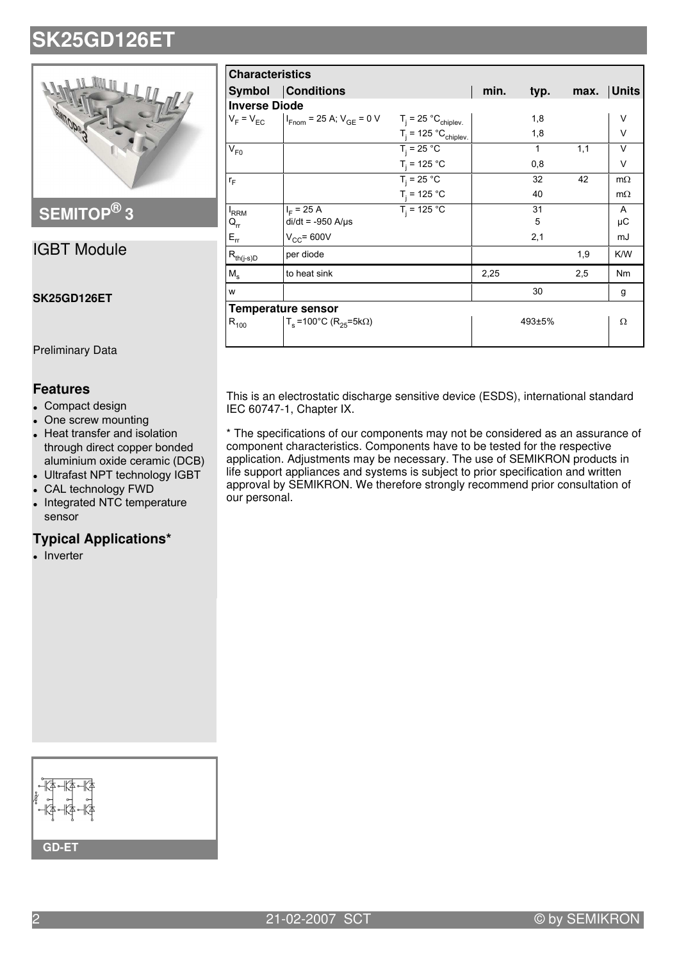

## **SEMITOP® 3**

## IGBT Module

#### **SK25GD126ET**

Preliminary Data

## **Features**

- Compact design
- One screw mounting
- Heat transfer and isolation through direct copper bonded aluminium oxide ceramic (DCB)
- Ultrafast NPT technology IGBT
- CAL technology FWD
- Integrated NTC temperature sensor

### **Typical Applications\***

• Inverter

| <b>Characteristics</b>                  |                                                                                       |                           |      |              |      |              |  |  |  |
|-----------------------------------------|---------------------------------------------------------------------------------------|---------------------------|------|--------------|------|--------------|--|--|--|
|                                         | <b>Symbol</b> Conditions                                                              |                           | min. | typ.         | max. | <b>Units</b> |  |  |  |
|                                         | <b>Inverse Diode</b>                                                                  |                           |      |              |      |              |  |  |  |
|                                         | $V_F = V_{EC}$   $V_{Fnom} = 25$ A; $V_{GE} = 0$ V $T_j = 25$ °C <sub>chiplev</sub> . |                           |      | 1,8          |      | V            |  |  |  |
|                                         |                                                                                       | $T_i = 125 °C_{chiplev.}$ |      | 1,8          |      | $\vee$       |  |  |  |
| $V_{F0}$                                |                                                                                       | $T_i = 25 °C$             |      | $\mathbf{1}$ | 1,1  | $\vee$       |  |  |  |
|                                         |                                                                                       | $T_i = 125 °C$            |      | 0,8          |      | V            |  |  |  |
| $r_F$                                   |                                                                                       | $T_i = 25 °C$             |      | 32           | 42   | $m\Omega$    |  |  |  |
|                                         |                                                                                       | $T_i = 125 °C$            |      | 40           |      | $m\Omega$    |  |  |  |
| <sup>I</sup> RRM                        | $I_F = 25 A$                                                                          | $T_i = 125 °C$            |      | 31           |      | A            |  |  |  |
| $\mathsf{Q}_{\mathsf{rr}}$              | $di/dt = -950$ A/ $\mu$ s                                                             |                           |      | 5            |      | μC           |  |  |  |
| $E_{rr}$                                | $V_{CC}$ = 600V                                                                       |                           |      | 2,1          |      | mJ           |  |  |  |
| $\mathsf{R}_{\mathsf{th}(j\text{-s})D}$ | per diode                                                                             |                           |      |              | 1,9  | K/W          |  |  |  |
| $M_s$                                   | to heat sink                                                                          |                           | 2,25 |              | 2,5  | <b>Nm</b>    |  |  |  |
| W                                       |                                                                                       |                           |      | 30           |      | g            |  |  |  |
|                                         | <b>Temperature sensor</b>                                                             |                           |      |              |      |              |  |  |  |
| $R_{100}$                               | $T_s$ =100°C (R <sub>25</sub> =5kΩ)                                                   |                           |      | 493±5%       |      | Ω            |  |  |  |

This is an electrostatic discharge sensitive device (ESDS), international standard IEC 60747-1, Chapter IX.

\* The specifications of our components may not be considered as an assurance of component characteristics. Components have to be tested for the respective application. Adjustments may be necessary. The use of SEMIKRON products in life support appliances and systems is subject to prior specification and written approval by SEMIKRON. We therefore strongly recommend prior consultation of our personal.

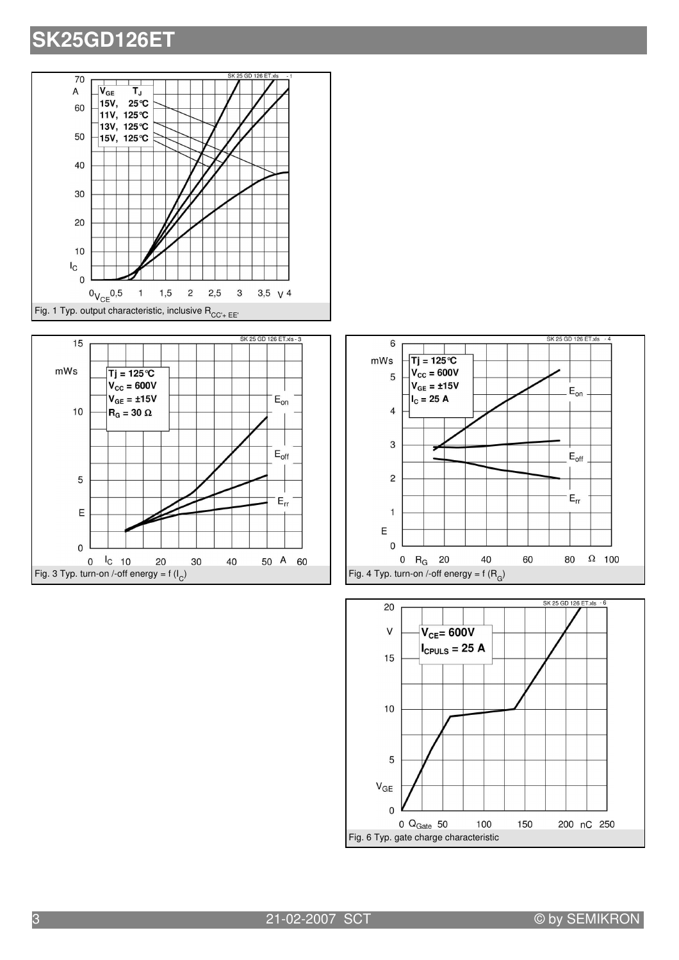





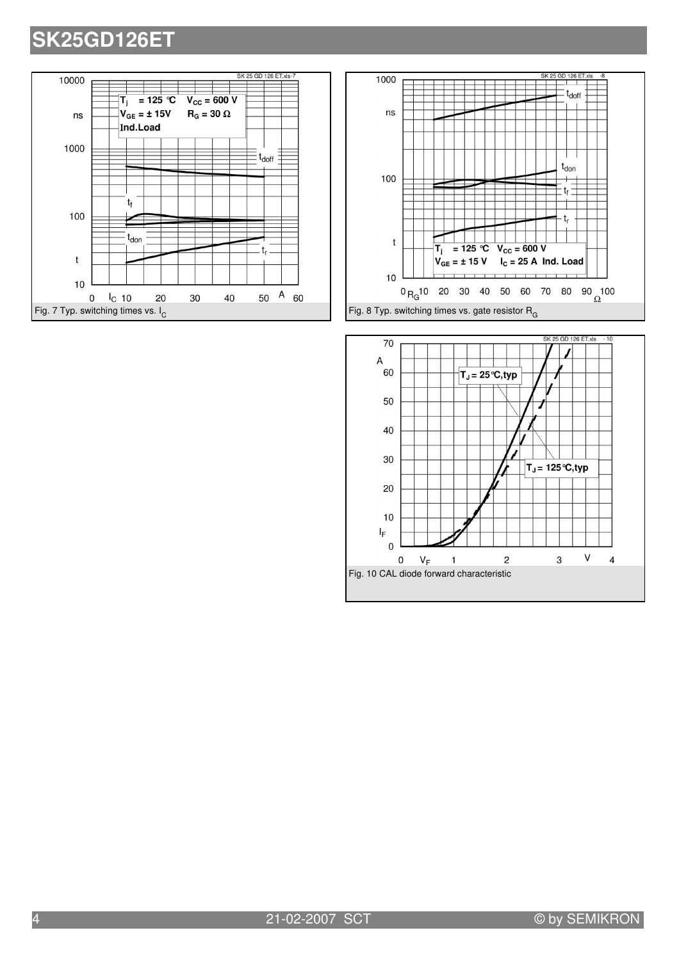